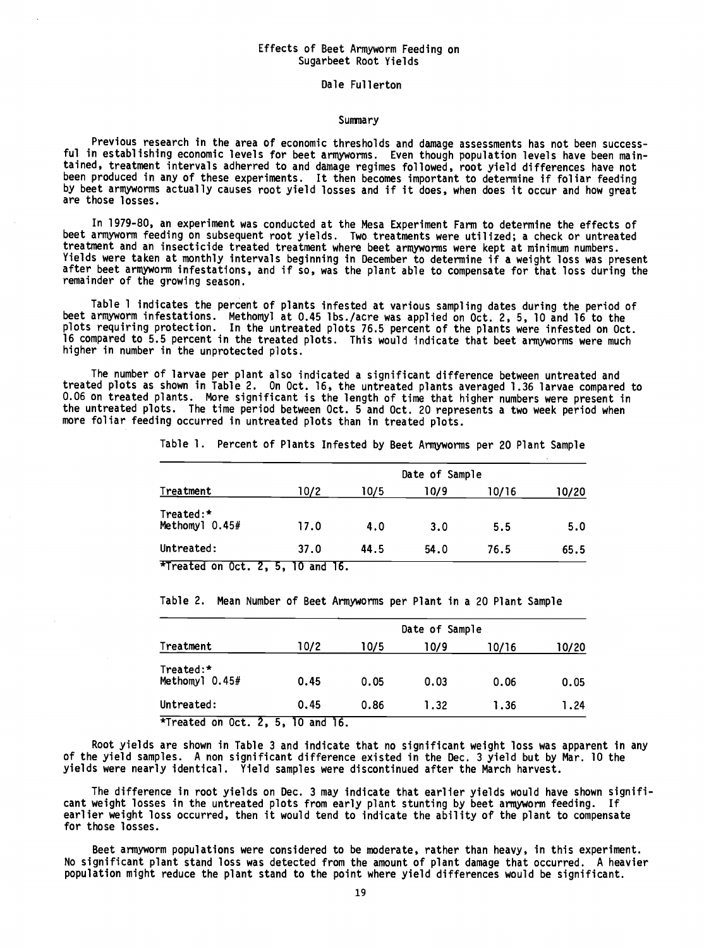## Effects of Beet Armyworm Feeding on Sugarbeet Root Yields

Dale Fullerton

## **Summary**

Previous research in the area of economic thresholds and damage assessments has not been successful in establishing economic levels for beet armyworms. Even though population levels have been maintained, treatment intervals adherred to and damage regimes followed, root yield differences have not been produced in any of these experiments. It then becomes important to determine if foliar feeding by beet armyworms actually causes root yield losses and if it does, when does it occur and how great are those losses.

In 1979 -80, an experiment was conducted at the Mesa Experiment Farm to determine the effects of beet armyworm feeding on subsequent root yields. Two treatments were utilized; a check or untreated treatment and an insecticide treated treatment where beet armyworms were kept at minimum numbers. Yields were taken at monthly intervals beginning in December to determine if a weight loss was present after beet armyworm infestations, and if so, was the plant able to compensate for that loss during the remainder of the growing season.

Table 1 indicates the percent of plants infested at various sampling dates during the period of beet armyworm infestations. Methomyl at 0.45 lbs. /acre was applied on Oct. 2, 5, 10 and 16 to the plots requiring protection. In the untreated plots 76.5 percent of the plants were infested on Oct. 16 compared to 5.5 percent in the treated plots. This would indicate that beet armyworms were much higher in number in the unprotected plots.

The number of larvae per plant also indicated a significant difference between untreated and treated plots as shown in Table 2. On Oct. 16, the untreated plants averaged 1.36 larvae compared to 0.06 on treated plants. More significant is the length of time that higher numbers were present in the untreated plots. The time period between Oct. 5 and Oct. 20 represents a two week period when more foliar feeding occurred in untreated plots than in treated plots.

Table 1. Percent of Plants Infested by Beet Armyworms per 20 Plant Sample

|                               | Date of Sample |      |      |       |       |  |  |
|-------------------------------|----------------|------|------|-------|-------|--|--|
| Treatment                     | 10/2           | 10/5 | 10/9 | 10/16 | 10/20 |  |  |
| Treated:*<br>Methomyl $0.45#$ | 17.0           | 4.0  | 3.0  | 5.5   | 5.0   |  |  |
| Untreated:                    | 37.0           | 44.5 | 54.0 | 76.5  | 65.5  |  |  |

\*Treated on Oct. 2, 5, 10 and 16.

Table 2. Mean Number of Beet Armyworms per Plant in a 20 Plant Sample

| Treatment                     | Date of Sample |      |      |       |       |  |  |
|-------------------------------|----------------|------|------|-------|-------|--|--|
|                               | 10/2           | 10/5 | 10/9 | 10/16 | 10/20 |  |  |
| Treated:*<br>Methomyl $0.45#$ | 0.45           | 0.05 | 0.03 | 0.06  | 0.05  |  |  |
| Untreated:                    | 0.45           | 0.86 | 1.32 | 1.36  | 1.24  |  |  |

\*Treated on Oct. 2, 5, 10 and 16.

Root yields are shown in Table 3 and indicate that no significant weight loss was apparent in any of the yield samples. A non significant difference existed in the Dec. 3 yield but by Mar. 10 the yields were nearly identical. Yield samples were discontinued after the March harvest.

The difference in root yields on Dec. 3 may indicate that earlier yields would have shown significant weight losses in the untreated plots from early plant stunting by beet armyworm feeding. If earlier weight loss occurred, then it would tend to indicate the ability of the plant to compensate for those losses.

Beet armyworm populations were considered to be moderate, rather than heavy, in this experiment. No significant plant stand loss was detected from the amount of plant damage that occurred. A heavier population might reduce the plant stand to the point where yield differences would be significant.